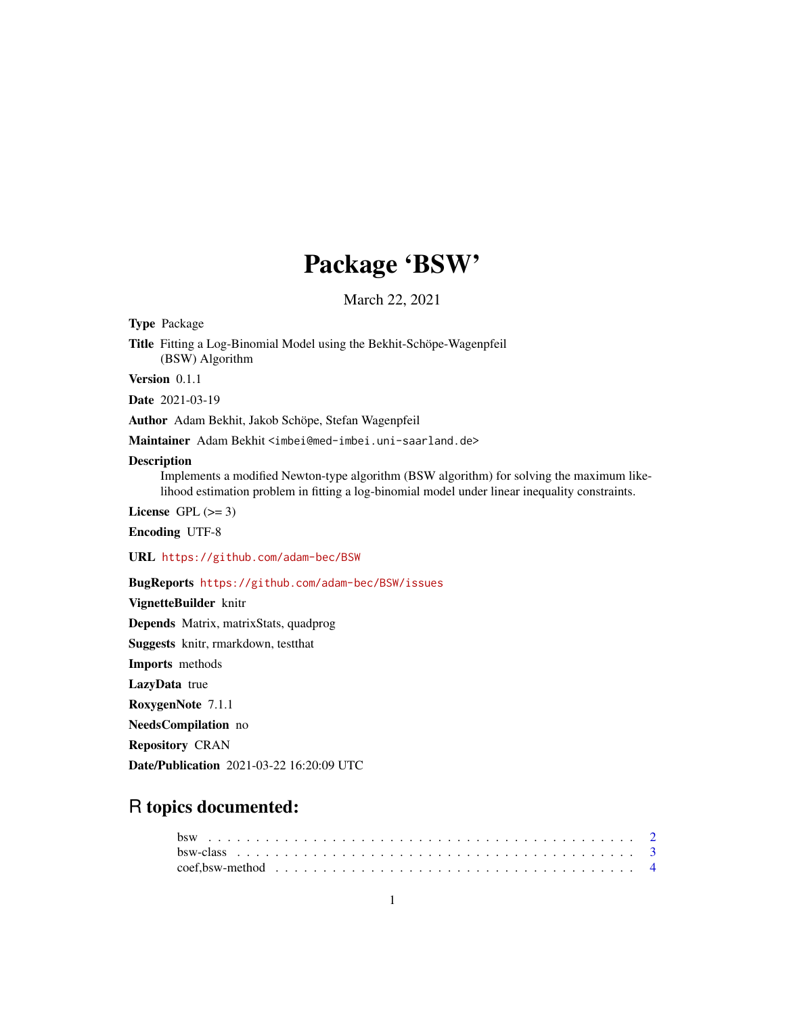## Package 'BSW'

March 22, 2021

Type Package

Title Fitting a Log-Binomial Model using the Bekhit-Schöpe-Wagenpfeil (BSW) Algorithm

Version 0.1.1

Date 2021-03-19

Author Adam Bekhit, Jakob Schöpe, Stefan Wagenpfeil

Maintainer Adam Bekhit <imbei@med-imbei.uni-saarland.de>

#### Description

Implements a modified Newton-type algorithm (BSW algorithm) for solving the maximum likelihood estimation problem in fitting a log-binomial model under linear inequality constraints.

License GPL  $(>= 3)$ 

Encoding UTF-8

URL <https://github.com/adam-bec/BSW>

BugReports <https://github.com/adam-bec/BSW/issues>

VignetteBuilder knitr

Depends Matrix, matrixStats, quadprog

Suggests knitr, rmarkdown, testthat

Imports methods

LazyData true

RoxygenNote 7.1.1

NeedsCompilation no

Repository CRAN

Date/Publication 2021-03-22 16:20:09 UTC

### R topics documented: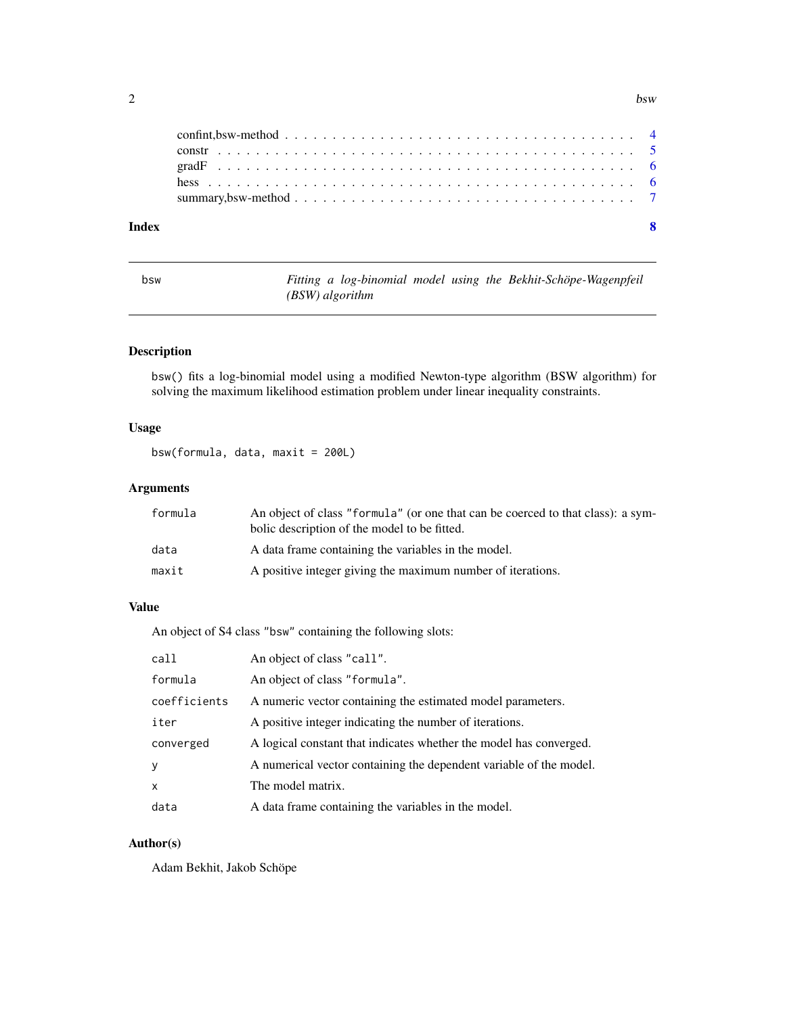#### <span id="page-1-0"></span> $2a$

|       | construction of the construction of the construction of the construction of the construction of the construction of $5$ |  |  |  |  |  |  |  |  |  |  |  |  |  |  |  |  |  |  |
|-------|-------------------------------------------------------------------------------------------------------------------------|--|--|--|--|--|--|--|--|--|--|--|--|--|--|--|--|--|--|
|       |                                                                                                                         |  |  |  |  |  |  |  |  |  |  |  |  |  |  |  |  |  |  |
|       | summary, bsw-method $\ldots \ldots \ldots \ldots \ldots \ldots \ldots \ldots \ldots \ldots \ldots \ldots \ldots$        |  |  |  |  |  |  |  |  |  |  |  |  |  |  |  |  |  |  |
|       |                                                                                                                         |  |  |  |  |  |  |  |  |  |  |  |  |  |  |  |  |  |  |
| Index |                                                                                                                         |  |  |  |  |  |  |  |  |  |  |  |  |  |  |  |  |  |  |

| v<br>. .<br>$\sim$<br>$\sim$ |
|------------------------------|
|------------------------------|

bsw *Fitting a log-binomial model using the Bekhit-Schöpe-Wagenpfeil (BSW) algorithm*

#### Description

bsw() fits a log-binomial model using a modified Newton-type algorithm (BSW algorithm) for solving the maximum likelihood estimation problem under linear inequality constraints.

#### Usage

```
bsw(formula, data, maxit = 200L)
```
#### Arguments

| formula | An object of class "formula" (or one that can be coerced to that class): a sym-<br>bolic description of the model to be fitted. |
|---------|---------------------------------------------------------------------------------------------------------------------------------|
| data    | A data frame containing the variables in the model.                                                                             |
| maxit   | A positive integer giving the maximum number of iterations.                                                                     |

#### Value

An object of S4 class "bsw" containing the following slots:

| call         | An object of class "call".                                         |
|--------------|--------------------------------------------------------------------|
| formula      | An object of class "formula".                                      |
| coefficients | A numeric vector containing the estimated model parameters.        |
| iter         | A positive integer indicating the number of iterations.            |
| converged    | A logical constant that indicates whether the model has converged. |
| y            | A numerical vector containing the dependent variable of the model. |
| $\mathsf{x}$ | The model matrix.                                                  |
| data         | A data frame containing the variables in the model.                |

#### Author(s)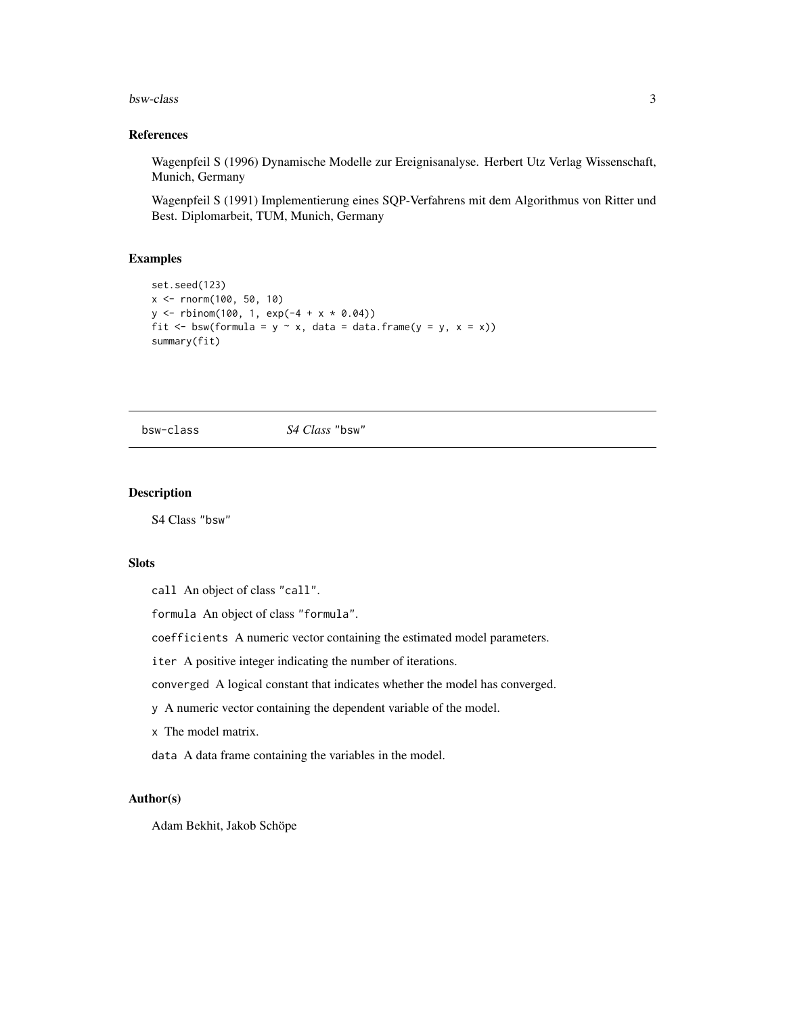#### <span id="page-2-0"></span>bsw-class 3

#### References

Wagenpfeil S (1996) Dynamische Modelle zur Ereignisanalyse. Herbert Utz Verlag Wissenschaft, Munich, Germany

Wagenpfeil S (1991) Implementierung eines SQP-Verfahrens mit dem Algorithmus von Ritter und Best. Diplomarbeit, TUM, Munich, Germany

#### Examples

```
set.seed(123)
x <- rnorm(100, 50, 10)
y \le - rbinom(100, 1, exp(-4 + x * 0.04))
fit \le bsw(formula = y \sim x, data = data.frame(y = y, x = x))
summary(fit)
```
bsw-class *S4 Class* "bsw"

#### Description

S4 Class "bsw"

#### **Slots**

call An object of class "call".

formula An object of class "formula".

coefficients A numeric vector containing the estimated model parameters.

iter A positive integer indicating the number of iterations.

converged A logical constant that indicates whether the model has converged.

y A numeric vector containing the dependent variable of the model.

x The model matrix.

data A data frame containing the variables in the model.

#### Author(s)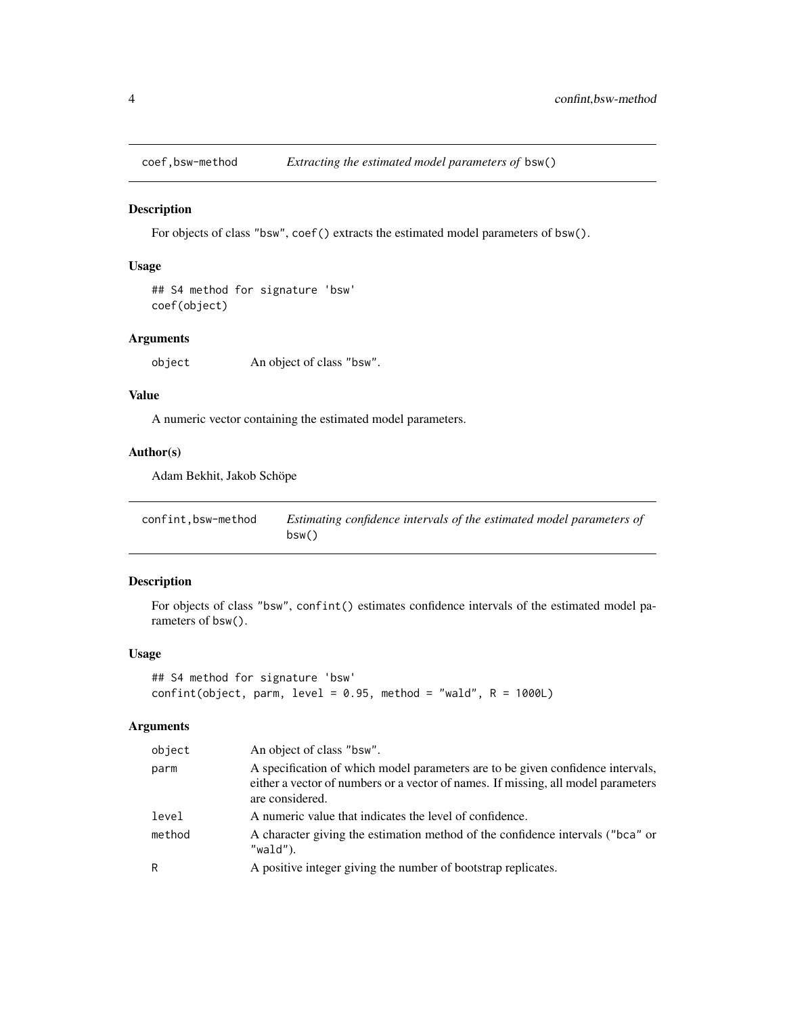<span id="page-3-0"></span>

#### Description

For objects of class "bsw", coef() extracts the estimated model parameters of bsw().

#### Usage

## S4 method for signature 'bsw' coef(object)

#### Arguments

object An object of class "bsw".

#### Value

A numeric vector containing the estimated model parameters.

#### Author(s)

Adam Bekhit, Jakob Schöpe

| confint.bsw-method | Estimating confidence intervals of the estimated model parameters of |
|--------------------|----------------------------------------------------------------------|
|                    | bsw()                                                                |

#### Description

For objects of class "bsw", confint() estimates confidence intervals of the estimated model parameters of bsw().

#### Usage

```
## S4 method for signature 'bsw'
confint(object, parm, level = 0.95, method = "wald", R = 1000L)
```
#### Arguments

| object | An object of class "bsw".                                                                                                                                                               |
|--------|-----------------------------------------------------------------------------------------------------------------------------------------------------------------------------------------|
| parm   | A specification of which model parameters are to be given confidence intervals,<br>either a vector of numbers or a vector of names. If missing, all model parameters<br>are considered. |
| level  | A numeric value that indicates the level of confidence.                                                                                                                                 |
| method | A character giving the estimation method of the confidence intervals ("bca" or<br>"wald").                                                                                              |
| R      | A positive integer giving the number of bootstrap replicates.                                                                                                                           |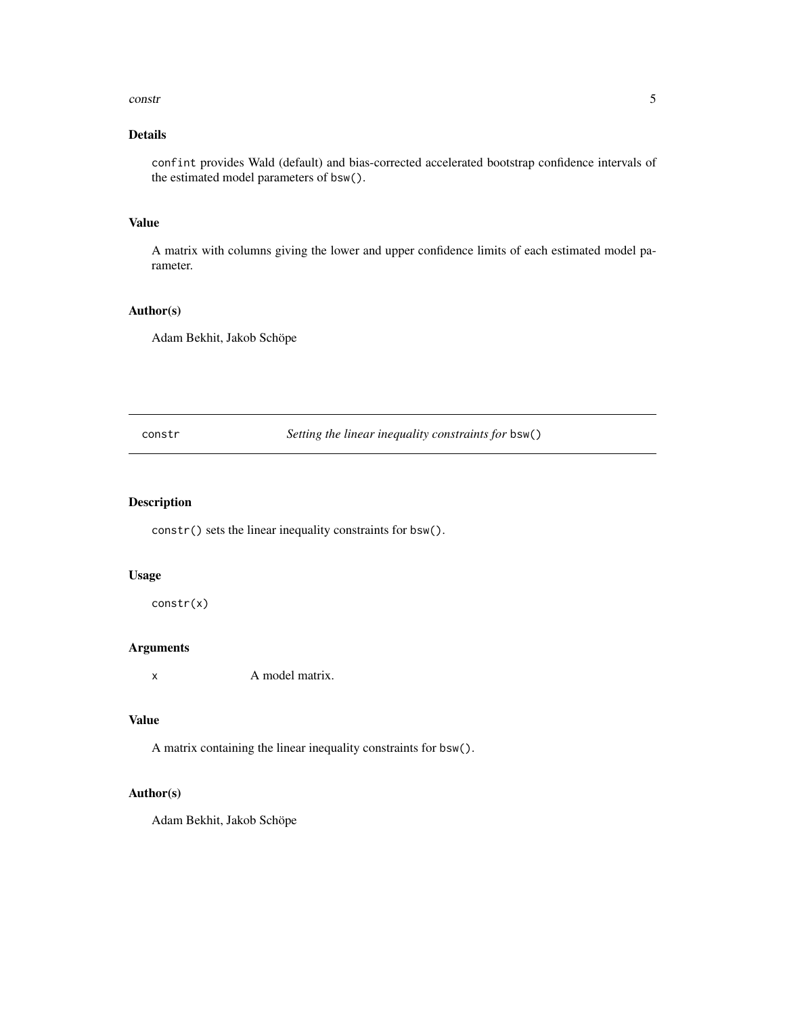#### <span id="page-4-0"></span>constr  $\sim$  5

#### Details

confint provides Wald (default) and bias-corrected accelerated bootstrap confidence intervals of the estimated model parameters of bsw().

#### Value

A matrix with columns giving the lower and upper confidence limits of each estimated model parameter.

#### Author(s)

Adam Bekhit, Jakob Schöpe

constr *Setting the linear inequality constraints for* bsw()

#### Description

constr() sets the linear inequality constraints for bsw().

#### Usage

constr(x)

#### Arguments

x A model matrix.

#### Value

A matrix containing the linear inequality constraints for bsw().

#### Author(s)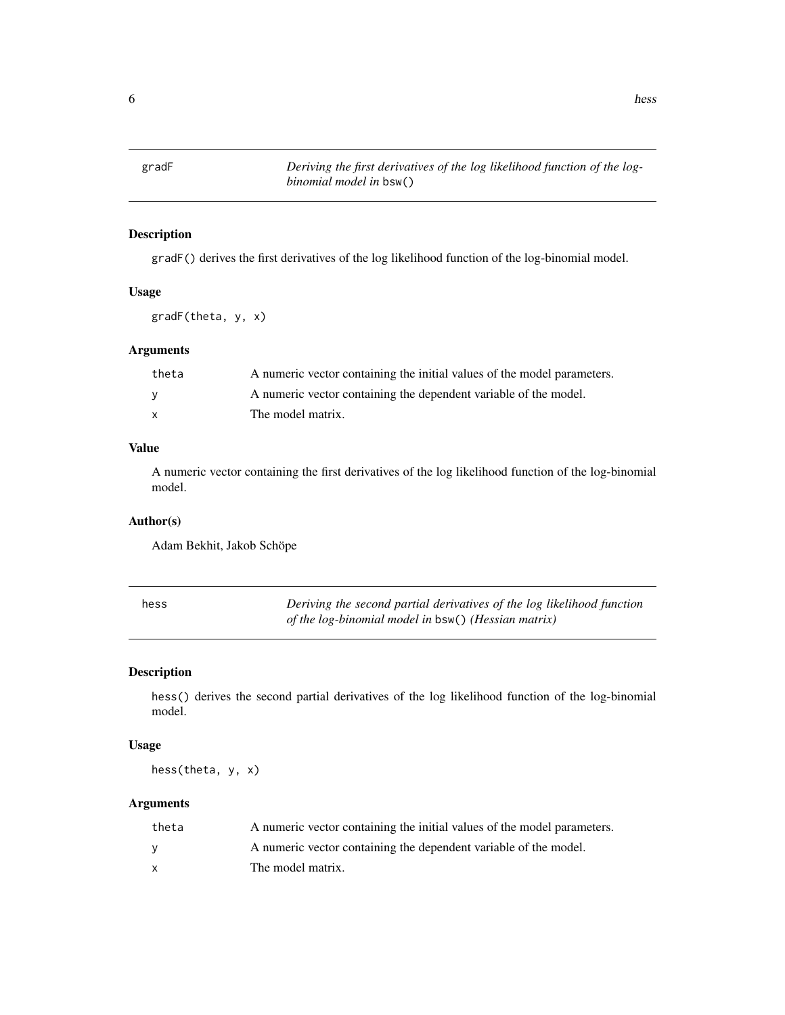<span id="page-5-0"></span>

#### Description

gradF() derives the first derivatives of the log likelihood function of the log-binomial model.

#### Usage

gradF(theta, y, x)

#### Arguments

| theta        | A numeric vector containing the initial values of the model parameters. |
|--------------|-------------------------------------------------------------------------|
| <b>V</b>     | A numeric vector containing the dependent variable of the model.        |
| $\mathbf{x}$ | The model matrix.                                                       |

#### Value

A numeric vector containing the first derivatives of the log likelihood function of the log-binomial model.

#### Author(s)

Adam Bekhit, Jakob Schöpe

| hess | Deriving the second partial derivatives of the log likelihood function |
|------|------------------------------------------------------------------------|
|      | of the log-binomial model in $bsw()$ (Hessian matrix)                  |

#### Description

hess() derives the second partial derivatives of the log likelihood function of the log-binomial model.

#### Usage

hess(theta, y, x)

#### Arguments

| theta | A numeric vector containing the initial values of the model parameters. |
|-------|-------------------------------------------------------------------------|
| v     | A numeric vector containing the dependent variable of the model.        |
|       | The model matrix.                                                       |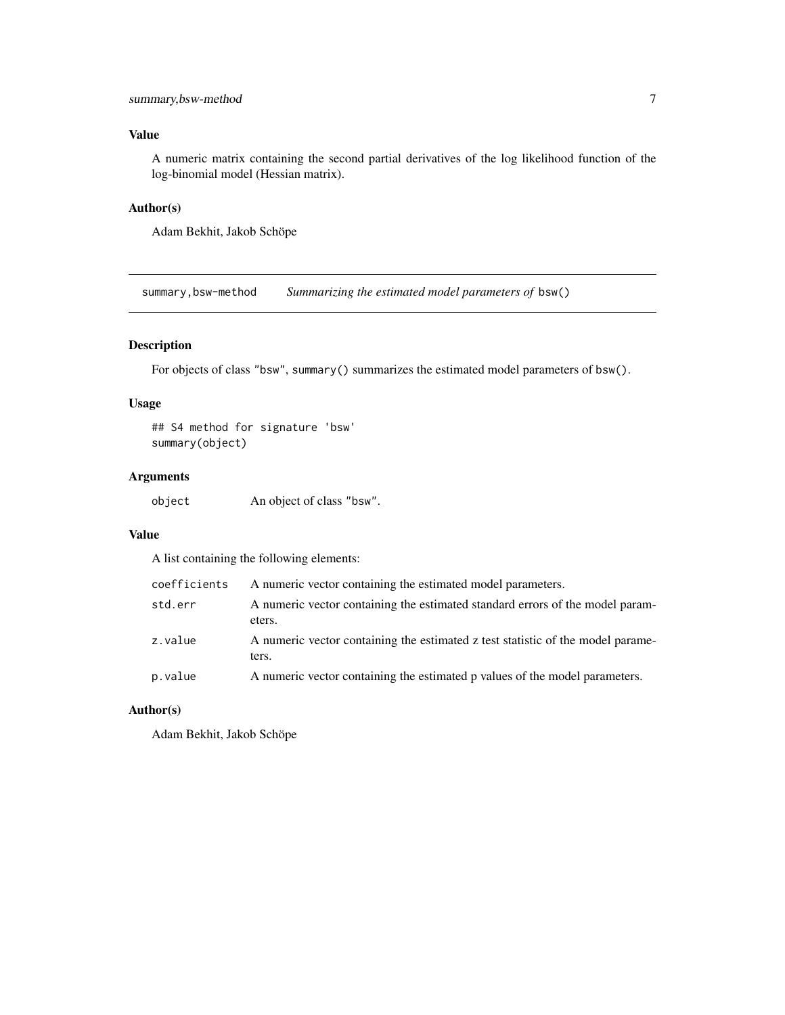#### <span id="page-6-0"></span>Value

A numeric matrix containing the second partial derivatives of the log likelihood function of the log-binomial model (Hessian matrix).

#### Author(s)

Adam Bekhit, Jakob Schöpe

summary,bsw-method *Summarizing the estimated model parameters of* bsw()

#### Description

For objects of class "bsw", summary() summarizes the estimated model parameters of bsw().

#### Usage

## S4 method for signature 'bsw' summary(object)

#### Arguments

object An object of class "bsw".

#### Value

A list containing the following elements:

| coefficients | A numeric vector containing the estimated model parameters.                              |
|--------------|------------------------------------------------------------------------------------------|
| std.err      | A numeric vector containing the estimated standard errors of the model param-<br>eters.  |
| z.value      | A numeric vector containing the estimated z test statistic of the model parame-<br>ters. |
| p.value      | A numeric vector containing the estimated p values of the model parameters.              |

#### Author(s)